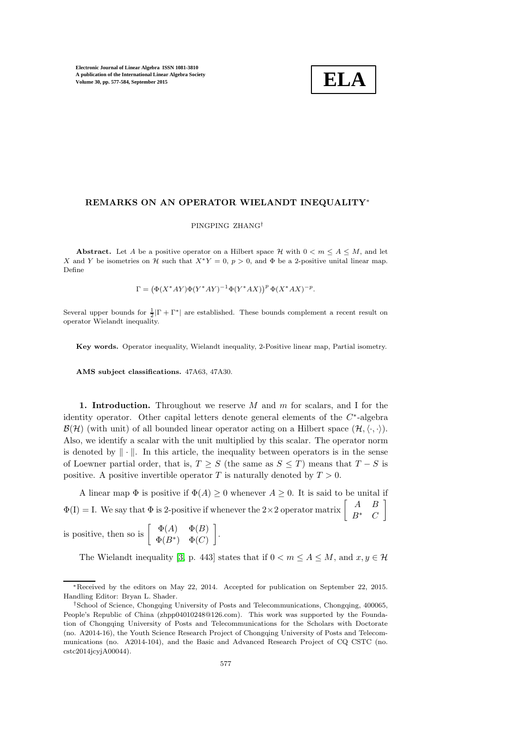

### REMARKS ON AN OPERATOR WIELANDT INEQUALITY<sup>∗</sup>

# PINGPING ZHANG†

**Abstract.** Let A be a positive operator on a Hilbert space H with  $0 < m \le A \le M$ , and let X and Y be isometries on H such that  $X^*Y = 0$ ,  $p > 0$ , and  $\Phi$  be a 2-positive unital linear map. Define

 $Γ = (Φ(X*AY)Φ(Y*AY)<sup>-1</sup>Φ(Y*AX))<sup>p</sup>Φ(X*AX)<sup>-p</sup>.$ 

Several upper bounds for  $\frac{1}{2}|\Gamma + \Gamma^*|$  are established. These bounds complement a recent result on operator Wielandt inequality.

Key words. Operator inequality, Wielandt inequality, 2-Positive linear map, Partial isometry.

AMS subject classifications. 47A63, 47A30.

1. Introduction. Throughout we reserve M and  $m$  for scalars, and I for the identity operator. Other capital letters denote general elements of the  $C^*$ -algebra  $\mathcal{B}(\mathcal{H})$  (with unit) of all bounded linear operator acting on a Hilbert space  $(\mathcal{H}, \langle \cdot, \cdot \rangle)$ . Also, we identify a scalar with the unit multiplied by this scalar. The operator norm is denoted by  $\|\cdot\|$ . In this article, the inequality between operators is in the sense of Loewner partial order, that is,  $T \geq S$  (the same as  $S \leq T$ ) means that  $T - S$  is positive. A positive invertible operator T is naturally denoted by  $T > 0$ .

A linear map  $\Phi$  is positive if  $\Phi(A) \geq 0$  whenever  $A \geq 0$ . It is said to be unital if  $\Phi(I) = I$ . We say that  $\Phi$  is 2-positive if whenever the 2×2 operator matrix  $\begin{bmatrix} A & B \\ D^* & C \end{bmatrix}$  $B^*$  C 1

is positive, then so is  $\begin{bmatrix} \Phi(A) & \Phi(B) \\ \Phi(B) & \Phi(C) \end{bmatrix}$  $\Phi(B^*)$   $\Phi(C)$ .

The Wielandt inequality [\[3,](#page-7-0) p. 443] states that if  $0 < m \le A \le M$ , and  $x, y \in \mathcal{H}$ 

<sup>∗</sup>Received by the editors on May 22, 2014. Accepted for publication on September 22, 2015. Handling Editor: Bryan L. Shader.

<sup>†</sup>School of Science, Chongqing University of Posts and Telecommunications, Chongqing, 400065, People's Republic of China (zhpp04010248@126.com). This work was supported by the Foundation of Chongqing University of Posts and Telecommunications for the Scholars with Doctorate (no. A2014-16), the Youth Science Research Project of Chongqing University of Posts and Telecommunications (no. A2014-104), and the Basic and Advanced Research Project of CQ CSTC (no. cstc2014jcyjA00044).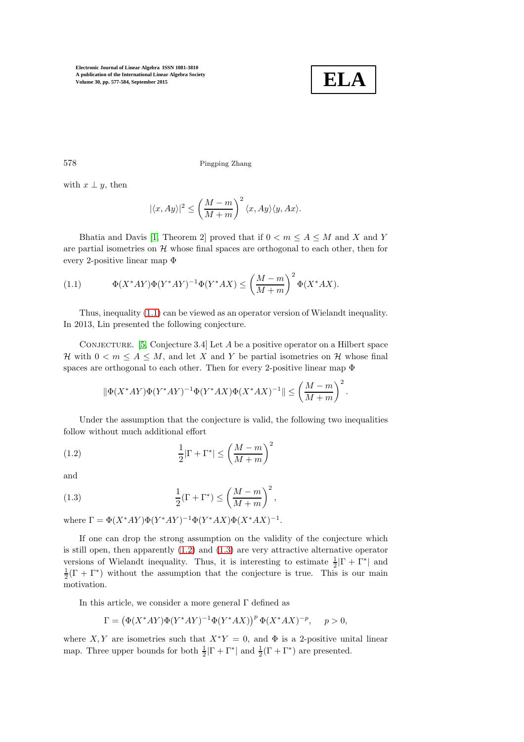

578 Pingping Zhang

with  $x \perp y$ , then

$$
|\langle x, Ay \rangle|^2 \le \left(\frac{M-m}{M+m}\right)^2 \langle x, Ay \rangle \langle y, Ax \rangle.
$$

Bhatia and Davis [\[1,](#page-7-1) Theorem 2] proved that if  $0 < m \le A \le M$  and X and Y are partial isometries on  $H$  whose final spaces are orthogonal to each other, then for every 2-positive linear map Φ

<span id="page-1-0"></span>(1.1) 
$$
\Phi(X^*AY)\Phi(Y^*AY)^{-1}\Phi(Y^*AX) \le \left(\frac{M-m}{M+m}\right)^2 \Phi(X^*AX).
$$

Thus, inequality [\(1.1\)](#page-1-0) can be viewed as an operator version of Wielandt inequality. In 2013, Lin presented the following conjecture.

CONJECTURE. [\[5,](#page-7-2) Conjecture 3.4] Let  $A$  be a positive operator on a Hilbert space H with  $0 < m \leq A \leq M$ , and let X and Y be partial isometries on H whose final spaces are orthogonal to each other. Then for every 2-positive linear map Φ

<span id="page-1-1"></span>
$$
\|\Phi(X^*AY)\Phi(Y^*AY)^{-1}\Phi(Y^*AX)\Phi(X^*AX)^{-1}\| \le \left(\frac{M-m}{M+m}\right)^2.
$$

Under the assumption that the conjecture is valid, the following two inequalities follow without much additional effort

(1.2) 
$$
\frac{1}{2}|\Gamma + \Gamma^*| \le \left(\frac{M-m}{M+m}\right)^2
$$

and

<span id="page-1-2"></span>(1.3) 
$$
\frac{1}{2}(\Gamma + \Gamma^*) \le \left(\frac{M-m}{M+m}\right)^2,
$$

where  $\Gamma = \Phi(X^*AY)\Phi(Y^*AY)^{-1}\Phi(Y^*AX)\Phi(X^*AX)^{-1}$ .

If one can drop the strong assumption on the validity of the conjecture which is still open, then apparently  $(1.2)$  and  $(1.3)$  are very attractive alternative operator versions of Wielandt inequality. Thus, it is interesting to estimate  $\frac{1}{2}|\Gamma + \Gamma^*|$  and  $\frac{1}{2}(\Gamma + \Gamma^*)$  without the assumption that the conjecture is true. This is our main motivation.

In this article, we consider a more general  $\Gamma$  defined as

$$
\Gamma = \left(\Phi(X^*AY)\Phi(Y^*AY)^{-1}\Phi(Y^*AX)\right)^p\Phi(X^*AX)^{-p}, \quad p > 0,
$$

where X, Y are isometries such that  $X^*Y = 0$ , and  $\Phi$  is a 2-positive unital linear map. Three upper bounds for both  $\frac{1}{2}|\Gamma + \Gamma^*|$  and  $\frac{1}{2}(\Gamma + \Gamma^*)$  are presented.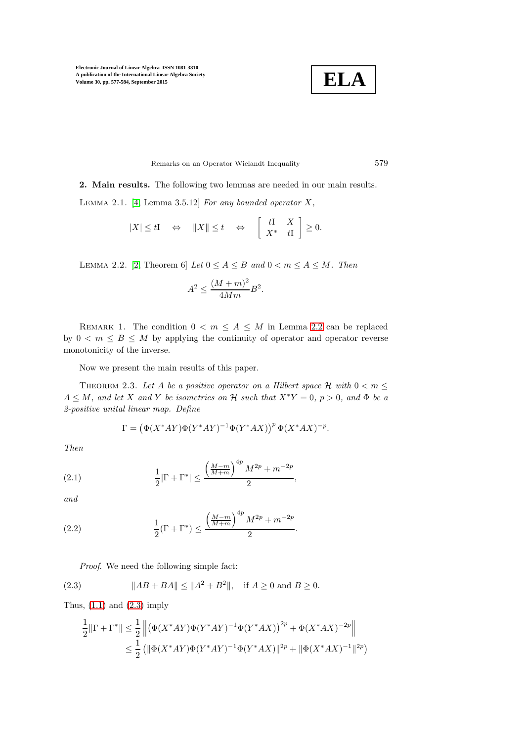

Remarks on an Operator Wielandt Inequality 579

<span id="page-2-3"></span>2. Main results. The following two lemmas are needed in our main results.

LEMMA 2.1.  $[4,$  Lemma 3.5.12] For any bounded operator  $X$ ,

$$
|X| \leq tI \quad \Leftrightarrow \quad ||X|| \leq t \quad \Leftrightarrow \quad \left[\begin{array}{cc} tI & X \\ X^* & tI \end{array}\right] \geq 0.
$$

<span id="page-2-0"></span>LEMMA 2.2. [\[2,](#page-7-4) Theorem 6] Let  $0 \le A \le B$  and  $0 < m \le A \le M$ . Then

$$
A^2 \le \frac{(M+m)^2}{4Mm}B^2.
$$

REMARK 1. The condition  $0 < m \le A \le M$  in Lemma [2.2](#page-2-0) can be replaced by  $0 < m \leq B \leq M$  by applying the continuity of operator and operator reverse monotonicity of the inverse.

<span id="page-2-6"></span>Now we present the main results of this paper.

THEOREM 2.3. Let A be a positive operator on a Hilbert space H with  $0 < m \leq$  $A \leq M$ , and let X and Y be isometries on H such that  $X^*Y = 0$ ,  $p > 0$ , and  $\Phi$  be a 2-positive unital linear map. Define

<span id="page-2-2"></span>
$$
\Gamma=\left(\Phi(X^*AY)\Phi(Y^*AY)^{-1}\Phi(Y^*AX)\right)^p\Phi(X^*AX)^{-p}.
$$

Then

(2.1) 
$$
\frac{1}{2}|\Gamma + \Gamma^*| \le \frac{\left(\frac{M-m}{M+m}\right)^{4p} M^{2p} + m^{-2p}}{2},
$$

and

(2.2) 
$$
\frac{1}{2}(\Gamma + \Gamma^*) \le \frac{\left(\frac{M-m}{M+m}\right)^{4p} M^{2p} + m^{-2p}}{2}.
$$

<span id="page-2-5"></span><span id="page-2-1"></span>Proof. We need the following simple fact:

(2.3) 
$$
||AB + BA|| \le ||A^2 + B^2||, \text{ if } A \ge 0 \text{ and } B \ge 0.
$$

Thus,  $(1.1)$  and  $(2.3)$  imply

<span id="page-2-4"></span>
$$
\frac{1}{2} \|\Gamma + \Gamma^*\| \le \frac{1}{2} \left\| \left( \Phi(X^*AY)\Phi(Y^*AY)^{-1}\Phi(Y^*AX) \right)^{2p} + \Phi(X^*AX)^{-2p} \right\|
$$
  

$$
\le \frac{1}{2} \left( \|\Phi(X^*AY)\Phi(Y^*AY)^{-1}\Phi(Y^*AX) \|^2 + \|\Phi(X^*AX)^{-1}\|^2\right)
$$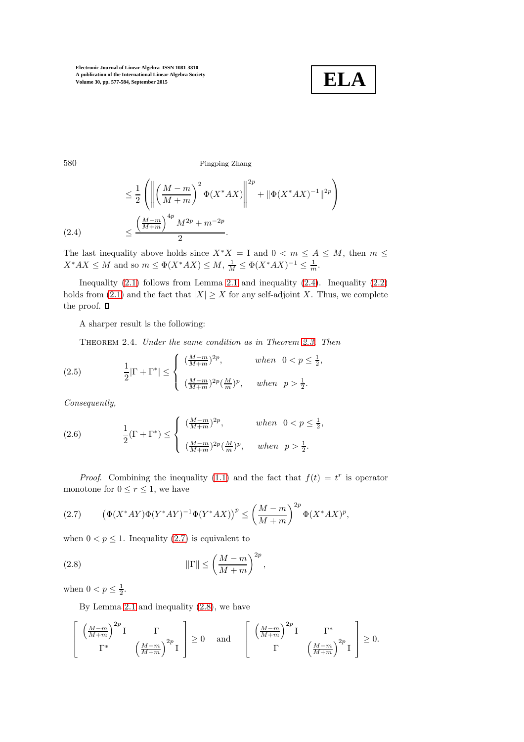

580 Pingping Zhang

$$
\leq \frac{1}{2} \left( \left\| \left( \frac{M-m}{M+m} \right)^2 \Phi(X^* AX) \right\|^{2p} + \|\Phi(X^*AX)^{-1}\|^{2p} \right) \n\leq \frac{\left( \frac{M-m}{M+m} \right)^{4p} M^{2p} + m^{-2p}}{2}.
$$
\n(2.4)

The last inequality above holds since  $X^*X = I$  and  $0 < m \leq A \leq M$ , then  $m \leq$  $X^*AX \le M$  and so  $m \le \Phi(X^*AX) \le M$ ,  $\frac{1}{M} \le \Phi(X^*AX)^{-1} \le \frac{1}{m}$ .

Inequality  $(2.1)$  follows from Lemma [2.1](#page-2-3) and inequality  $(2.4)$ . Inequality  $(2.2)$ holds from [\(2.1\)](#page-2-2) and the fact that  $|X| \geq X$  for any self-adjoint X. Thus, we complete the proof.  $\Box$ 

<span id="page-3-4"></span>A sharper result is the following:

<span id="page-3-2"></span>Theorem 2.4. Under the same condition as in Theorem [2.3.](#page-2-6) Then

(2.5) 
$$
\frac{1}{2}|\Gamma + \Gamma^*| \le \begin{cases} \frac{(M-m)}{M+m} \r_p, & when \quad 0 < p \le \frac{1}{2}, \\ \frac{(M-m)}{M+m} \r_p^2 \left(\frac{M}{m}\right)^p, & when \quad p > \frac{1}{2}. \end{cases}
$$

Consequently,

<span id="page-3-3"></span>(2.6) 
$$
\frac{1}{2}(\Gamma + \Gamma^*) \le \begin{cases} \frac{(M-m)}{M+m} 2^p, & when \ 0 < p \le \frac{1}{2}, \\ \frac{(M-m)}{M+m} 2^p (\frac{M}{m})^p, & when \ p > \frac{1}{2}. \end{cases}
$$

*Proof.* Combining the inequality [\(1.1\)](#page-1-0) and the fact that  $f(t) = t^r$  is operator monotone for  $0 \le r \le 1$ , we have

<span id="page-3-0"></span>(2.7) 
$$
(\Phi(X^*AY)\Phi(Y^*AY)^{-1}\Phi(Y^*AX))^p \le \left(\frac{M-m}{M+m}\right)^{2p} \Phi(X^*AX)^p,
$$

when  $0 < p \leq 1$ . Inequality [\(2.7\)](#page-3-0) is equivalent to

(2.8) 
$$
\|\Gamma\| \le \left(\frac{M-m}{M+m}\right)^{2p},\,
$$

when  $0 < p \leq \frac{1}{2}$ .

<span id="page-3-1"></span>By Lemma [2.1](#page-2-3) and inequality [\(2.8\)](#page-3-1), we have

$$
\left[\begin{array}{cc} \left(\frac{M-m}{M+m}\right)^{2p} I & \Gamma \\ \Gamma^* & \left(\frac{M-m}{M+m}\right)^{2p} I \end{array}\right] \ge 0 \text{ and } \left[\begin{array}{cc} \left(\frac{M-m}{M+m}\right)^{2p} I & \Gamma^* \\ \Gamma & \left(\frac{M-m}{M+m}\right)^{2p} I \end{array}\right] \ge 0.
$$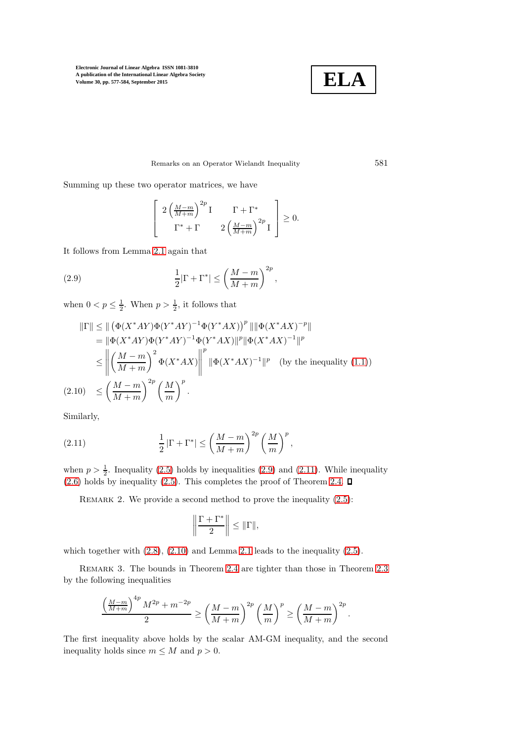

### Remarks on an Operator Wielandt Inequality 581

Summing up these two operator matrices, we have

<span id="page-4-0"></span>
$$
\left[\begin{array}{cc} 2\left(\frac{M-m}{M+m}\right)^{2p}I & \Gamma + \Gamma^* \\ \Gamma^* + \Gamma & 2\left(\frac{M-m}{M+m}\right)^{2p}I \end{array}\right] \ge 0.
$$

It follows from Lemma [2.1](#page-2-3) again that

(2.9) 
$$
\frac{1}{2}|\Gamma + \Gamma^*| \le \left(\frac{M-m}{M+m}\right)^{2p},
$$

when  $0 < p \leq \frac{1}{2}$ . When  $p > \frac{1}{2}$ , it follows that

<span id="page-4-2"></span>
$$
\begin{split} \|\Gamma\| &\leq \|\left(\Phi(X^*AY)\Phi(Y^*AY)^{-1}\Phi(Y^*AX)\right)^p \|\|\Phi(X^*AX)^{-p}\| \\ & = \|\Phi(X^*AY)\Phi(Y^*AY)^{-1}\Phi(Y^*AX)\|^p \|\Phi(X^*AX)^{-1}\|^p \\ & \leq \left\|\left(\frac{M-m}{M+m}\right)^2\Phi(X^*AX)\right\|^p \|\Phi(X^*AX)^{-1}\|^p \quad \text{(by the inequality (1.1))} \\ (2.10) \quad & \leq \left(\frac{M-m}{M+m}\right)^{2p} \left(\frac{M}{m}\right)^p. \end{split}
$$

Similarly,

(2.11) 
$$
\frac{1}{2} |\Gamma + \Gamma^*| \le \left(\frac{M-m}{M+m}\right)^{2p} \left(\frac{M}{m}\right)^p,
$$

when  $p > \frac{1}{2}$ . Inequality [\(2.5\)](#page-3-2) holds by inequalities [\(2.9\)](#page-4-0) and [\(2.11\)](#page-4-1). While inequality  $(2.6)$  holds by inequality  $(2.5)$ . This completes the proof of Theorem [2.4.](#page-3-4)  $\square$ 

REMARK 2. We provide a second method to prove the inequality  $(2.5)$ :

<span id="page-4-1"></span>
$$
\left\|\frac{\Gamma+\Gamma^*}{2}\right\| \le \|\Gamma\|,
$$

which together with  $(2.8)$ ,  $(2.10)$  and Lemma [2.1](#page-2-3) leads to the inequality  $(2.5)$ .

REMARK 3. The bounds in Theorem [2.4](#page-3-4) are tighter than those in Theorem [2.3](#page-2-6) by the following inequalities

$$
\frac{\left(\frac{M-m}{M+m}\right)^{4p} M^{2p} + m^{-2p}}{2} \ge \left(\frac{M-m}{M+m}\right)^{2p} \left(\frac{M}{m}\right)^p \ge \left(\frac{M-m}{M+m}\right)^{2p}.
$$

The first inequality above holds by the scalar AM-GM inequality, and the second inequality holds since  $m \leq M$  and  $p > 0$ .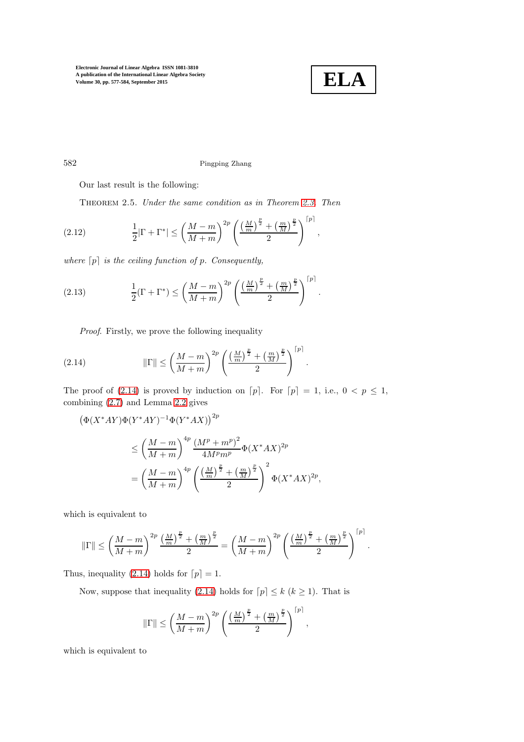

# 582 Pingping Zhang

<span id="page-5-3"></span>Our last result is the following:

<span id="page-5-1"></span>Theorem 2.5. Under the same condition as in Theorem [2.3.](#page-2-6) Then

(2.12) 
$$
\frac{1}{2}|\Gamma + \Gamma^*| \leq \left(\frac{M-m}{M+m}\right)^{2p} \left(\frac{\left(\frac{M}{m}\right)^{\frac{p}{2}} + \left(\frac{m}{M}\right)^{\frac{p}{2}}}{2}\right)^{[p]},
$$

where  $[p]$  is the ceiling function of p. Consequently,

(2.13) 
$$
\frac{1}{2}(\Gamma + \Gamma^*) \le \left(\frac{M-m}{M+m}\right)^{2p} \left(\frac{\left(\frac{M}{m}\right)^{\frac{p}{2}} + \left(\frac{m}{M}\right)^{\frac{p}{2}}}{2}\right)^{[p]}.
$$

<span id="page-5-2"></span><span id="page-5-0"></span>Proof. Firstly, we prove the following inequality

(2.14) 
$$
\|\Gamma\| \le \left(\frac{M-m}{M+m}\right)^{2p} \left(\frac{\left(\frac{M}{m}\right)^{\frac{p}{2}} + \left(\frac{m}{M}\right)^{\frac{p}{2}}}{2}\right)^{[p]}.
$$

The proof of [\(2.14\)](#page-5-0) is proved by induction on  $[p]$ . For  $[p] = 1$ , i.e.,  $0 \le p \le 1$ , combining [\(2.7\)](#page-3-0) and Lemma [2.2](#page-2-0) gives

$$
\begin{aligned} \left(\Phi(X^*AY)\Phi(Y^*AY)^{-1}\Phi(Y^*AX)\right)^{2p} \\ &\leq \left(\frac{M-m}{M+m}\right)^{4p} \frac{\left(M^p+m^p\right)^2}{4M^p m^p} \Phi(X^*AX)^{2p} \\ &= \left(\frac{M-m}{M+m}\right)^{4p} \left(\frac{\left(\frac{M}{m}\right)^{\frac{p}{2}} + \left(\frac{m}{M}\right)^{\frac{p}{2}}}{2}\right)^2 \Phi(X^*AX)^{2p}, \end{aligned}
$$

which is equivalent to

$$
\|\Gamma\| \le \left(\frac{M-m}{M+m}\right)^{2p} \frac{\left(\frac{M}{m}\right)^{\frac{p}{2}} + \left(\frac{m}{M}\right)^{\frac{p}{2}}}{2} = \left(\frac{M-m}{M+m}\right)^{2p} \left(\frac{\left(\frac{M}{m}\right)^{\frac{p}{2}} + \left(\frac{m}{M}\right)^{\frac{p}{2}}}{2}\right)^{[p]}.
$$

Thus, inequality [\(2.14\)](#page-5-0) holds for  $[p] = 1$ .

Now, suppose that inequality [\(2.14\)](#page-5-0) holds for  $[p] \leq k (k \geq 1)$ . That is

$$
\|\Gamma\| \le \left(\frac{M-m}{M+m}\right)^{2p} \left(\frac{\left(\frac{M}{m}\right)^{\frac{p}{2}} + \left(\frac{m}{M}\right)^{\frac{p}{2}}}{2}\right)^{[p]},
$$

which is equivalent to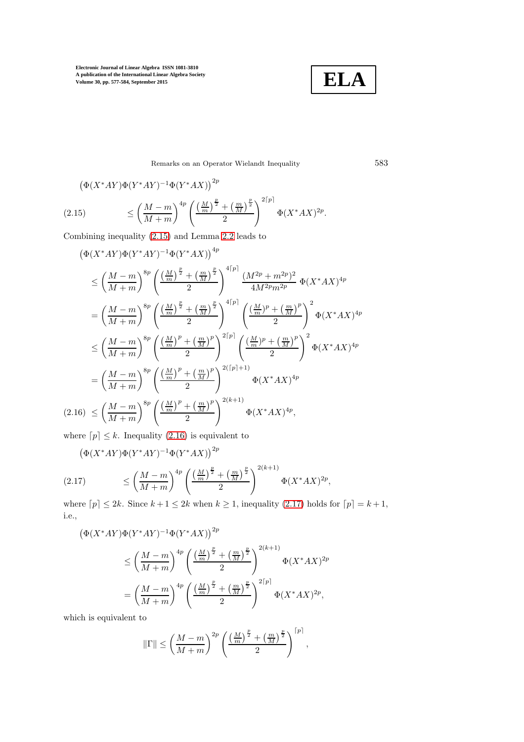**ELA**

<span id="page-6-0"></span>Remarks on an Operator Wielandt Inequality 583

$$
\begin{aligned} \left(\Phi(X^*AY)\Phi(Y^*AY)^{-1}\Phi(Y^*AX)\right)^{2p} \\ \leq \left(\frac{M-m}{M+m}\right)^{4p} \left(\frac{\left(\frac{M}{m}\right)^{\frac{p}{2}} + \left(\frac{m}{M}\right)^{\frac{p}{2}}}{2}\right)^{2\lceil p \rceil} \Phi(X^*AX)^{2p} .\end{aligned}
$$

Combining inequality [\(2.15\)](#page-6-0) and Lemma [2.2](#page-2-0) leads to

<span id="page-6-1"></span>
$$
(\Phi(X^*AY)\Phi(Y^*AY)^{-1}\Phi(Y^*AX))^{4p}
$$
  
\n
$$
\leq \left(\frac{M-m}{M+m}\right)^{8p} \left(\frac{\left(\frac{M}{m}\right)^{\frac{p}{2}} + \left(\frac{m}{M}\right)^{\frac{p}{2}}}{2}\right)^{4[p]} \frac{(M^{2p} + m^{2p})^2}{4M^{2p}m^{2p}} \Phi(X^*AX)^{4p}
$$
  
\n
$$
= \left(\frac{M-m}{M+m}\right)^{8p} \left(\frac{\left(\frac{M}{m}\right)^{\frac{p}{2}} + \left(\frac{m}{M}\right)^{\frac{p}{2}}}{2}\right)^{4[p]} \left(\frac{\left(\frac{M}{m}\right)^p + \left(\frac{m}{M}\right)^p}{2}\right)^2 \Phi(X^*AX)^{4p}
$$
  
\n
$$
\leq \left(\frac{M-m}{M+m}\right)^{8p} \left(\frac{\left(\frac{M}{m}\right)^p + \left(\frac{m}{M}\right)^p}{2}\right)^{2[p]} \left(\frac{\left(\frac{M}{m}\right)^p + \left(\frac{m}{M}\right)^p}{2}\right)^2 \Phi(X^*AX)^{4p}
$$
  
\n
$$
= \left(\frac{M-m}{M+m}\right)^{8p} \left(\frac{\left(\frac{M}{m}\right)^p + \left(\frac{m}{M}\right)^p}{2}\right)^{2([p]+1)} \Phi(X^*AX)^{4p}
$$
  
\n(2.16) 
$$
\leq \left(\frac{M-m}{M+m}\right)^{8p} \left(\frac{\left(\frac{M}{m}\right)^p + \left(\frac{m}{M}\right)^p}{2}\right)^{2(k+1)} \Phi(X^*AX)^{4p},
$$

where  $[p] \leq k$ . Inequality [\(2.16\)](#page-6-1) is equivalent to

$$
(\Phi(X^*AY)\Phi(Y^*AY)^{-1}\Phi(Y^*AX))^{2p}
$$
  
(2.17) 
$$
\leq \left(\frac{M-m}{M+m}\right)^{4p} \left(\frac{\left(\frac{M}{m}\right)^{\frac{p}{2}} + \left(\frac{m}{M}\right)^{\frac{p}{2}}}{2}\right)^{2(k+1)} \Phi(X^*AX)^{2p},
$$

<span id="page-6-2"></span>where  $[p] \leq 2k$ . Since  $k + 1 \leq 2k$  when  $k \geq 1$ , inequality [\(2.17\)](#page-6-2) holds for  $[p] = k + 1$ , i.e.,

$$
\begin{split} \left(\Phi(X^*AY)\Phi(Y^*AY)^{-1}\Phi(Y^*AX)\right)^{2p} \\ &\leq \left(\frac{M-m}{M+m}\right)^{4p} \left(\frac{\left(\frac{M}{m}\right)^{\frac{p}{2}} + \left(\frac{m}{M}\right)^{\frac{p}{2}}}{2}\right)^{2(k+1)} \Phi(X^*AX)^{2p} \\ &= \left(\frac{M-m}{M+m}\right)^{4p} \left(\frac{\left(\frac{M}{m}\right)^{\frac{p}{2}} + \left(\frac{m}{M}\right)^{\frac{p}{2}}}{2}\right)^{2\lceil p \rceil} \Phi(X^*AX)^{2p}, \end{split}
$$

which is equivalent to

$$
\|\Gamma\| \le \left(\frac{M-m}{M+m}\right)^{2p} \left(\frac{\left(\frac{M}{m}\right)^{\frac{p}{2}} + \left(\frac{m}{M}\right)^{\frac{p}{2}}}{2}\right)^{[p]},
$$